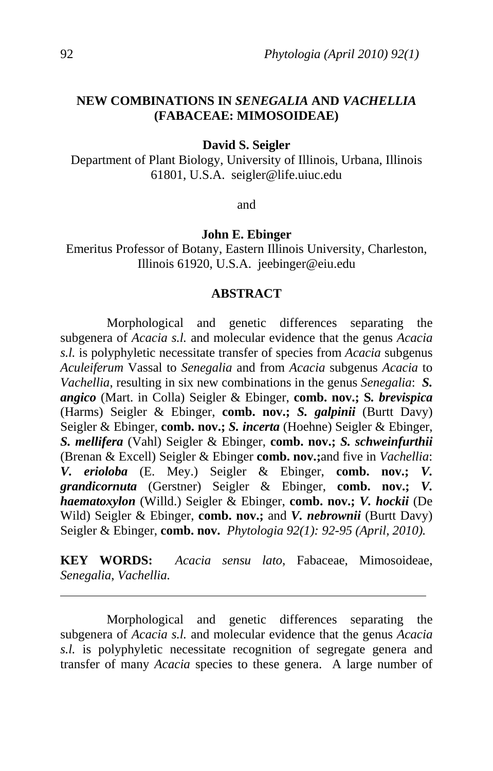# **NEW COMBINATIONS IN** *SENEGALIA* **AND** *VACHELLIA* **(FABACEAE: MIMOSOIDEAE)**

**David S. Seigler** 

Department of Plant Biology, University of Illinois, Urbana, Illinois 61801, U.S.A. seigler@life.uiuc.edu

and

#### **John E. Ebinger**

Emeritus Professor of Botany, Eastern Illinois University, Charleston, Illinois 61920, U.S.A. jeebinger@eiu.edu

#### **ABSTRACT**

 Morphological and genetic differences separating the subgenera of *Acacia s.l.* and molecular evidence that the genus *Acacia s.l.* is polyphyletic necessitate transfer of species from *Acacia* subgenus *Aculeiferum* Vassal to *Senegalia* and from *Acacia* subgenus *Acacia* to *Vachellia*, resulting in six new combinations in the genus *Senegalia*: *S. angico* (Mart. in Colla) Seigler & Ebinger, **comb. nov.; S***. brevispica* (Harms) Seigler & Ebinger, **comb. nov.;** *S. galpinii* (Burtt Davy) Seigler & Ebinger, **comb. nov.;** *S. incerta* (Hoehne) Seigler & Ebinger, *S. mellifera* (Vahl) Seigler & Ebinger, **comb. nov.;** *S. schweinfurthii* (Brenan & Excell) Seigler & Ebinger **comb. nov.;**and five in *Vachellia*: *V. erioloba* (E. Mey.) Seigler & Ebinger, **comb. nov.;** *V. grandicornuta* (Gerstner) Seigler & Ebinger, **comb. nov.;** *V. haematoxylon* (Willd.) Seigler & Ebinger, **comb. nov.;** *V. hockii* (De Wild) Seigler & Ebinger, **comb. nov.;** and *V. nebrownii* (Burtt Davy) Seigler & Ebinger, **comb. nov.** *Phytologia 92(1): 92-95 (April, 2010).*

**KEY WORDS:** *Acacia sensu lato*, Fabaceae, Mimosoideae, *Senegalia*, *Vachellia.*

Morphological and genetic differences separating the subgenera of *Acacia s.l.* and molecular evidence that the genus *Acacia s.l.* is polyphyletic necessitate recognition of segregate genera and transfer of many *Acacia* species to these genera. A large number of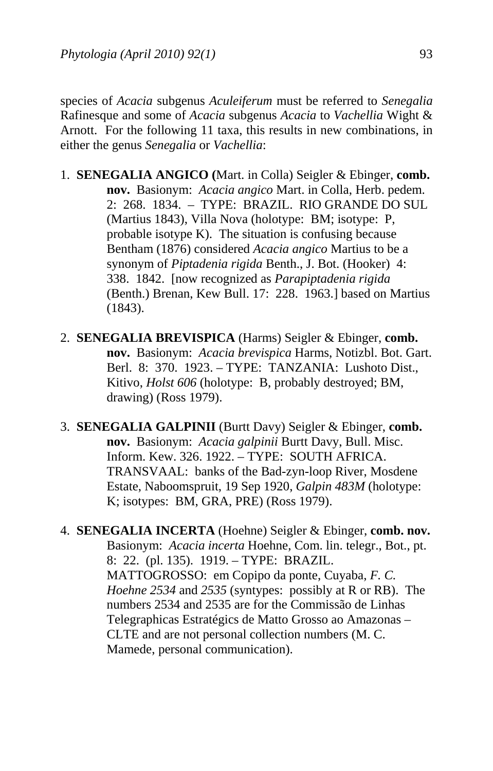species of *Acacia* subgenus *Aculeiferum* must be referred to *Senegalia* Rafinesque and some of *Acacia* subgenus *Acacia* to *Vachellia* Wight & Arnott. For the following 11 taxa, this results in new combinations, in either the genus *Senegalia* or *Vachellia*:

- 1. **SENEGALIA ANGICO (**Mart. in Colla) Seigler & Ebinger, **comb. nov.** Basionym: *Acacia angico* Mart. in Colla, Herb. pedem. 2: 268. 1834. – TYPE: BRAZIL. RIO GRANDE DO SUL (Martius 1843), Villa Nova (holotype: BM; isotype: P, probable isotype K). The situation is confusing because Bentham (1876) considered *Acacia angico* Martius to be a synonym of *Piptadenia rigida* Benth., J. Bot. (Hooker) 4: 338. 1842. [now recognized as *Parapiptadenia rigida*  (Benth.) Brenan, Kew Bull. 17: 228. 1963.] based on Martius (1843).
- 2. **SENEGALIA BREVISPICA** (Harms) Seigler & Ebinger, **comb. nov.** Basionym: *Acacia brevispica* Harms, Notizbl. Bot. Gart. Berl. 8: 370. 1923. – TYPE: TANZANIA: Lushoto Dist., Kitivo, *Holst 606* (holotype: B, probably destroyed; BM, drawing) (Ross 1979).
- 3. **SENEGALIA GALPINII** (Burtt Davy) Seigler & Ebinger, **comb. nov.** Basionym: *Acacia galpinii* Burtt Davy, Bull. Misc. Inform. Kew. 326. 1922. – TYPE: SOUTH AFRICA. TRANSVAAL: banks of the Bad-zyn-loop River, Mosdene Estate, Naboomspruit, 19 Sep 1920, *Galpin 483M* (holotype: K; isotypes: BM, GRA, PRE) (Ross 1979).
- 4. **SENEGALIA INCERTA** (Hoehne) Seigler & Ebinger, **comb. nov.** Basionym: *Acacia incerta* Hoehne, Com. lin. telegr., Bot., pt. 8: 22. (pl. 135). 1919. – TYPE: BRAZIL. MATTOGROSSO: em Copipo da ponte, Cuyaba, *F. C. Hoehne 2534* and *2535* (syntypes: possibly at R or RB). The numbers 2534 and 2535 are for the Commissão de Linhas Telegraphicas Estratégics de Matto Grosso ao Amazonas – CLTE and are not personal collection numbers (M. C. Mamede, personal communication).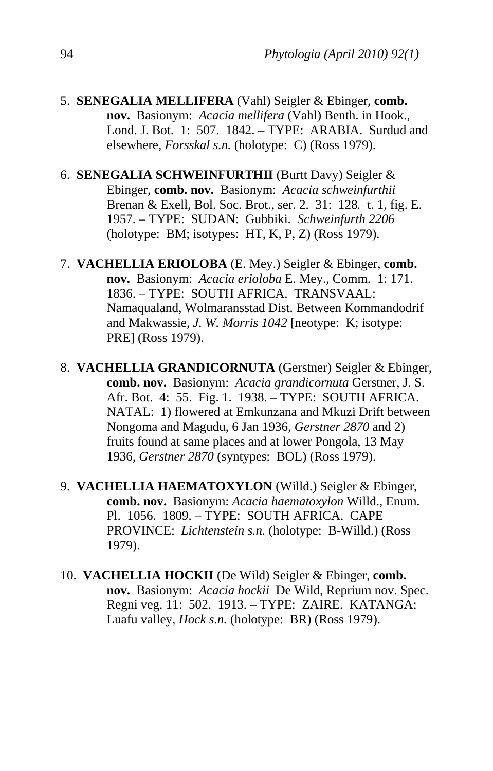- 5. **SENEGALIA MELLIFERA** (Vahl) Seigler & Ebinger, **comb. nov.** Basionym: *Acacia mellifera* (Vahl) Benth. in Hook., Lond. J. Bot. 1: 507. 1842. – TYPE: ARABIA. Surdud and elsewhere, *Forsskal s.n.* (holotype: C) (Ross 1979).
- 6. **SENEGALIA SCHWEINFURTHII** (Burtt Davy) Seigler & Ebinger, **comb. nov.** Basionym: *Acacia schweinfurthii* Brenan & Exell, Bol. Soc. Brot., ser. 2. 31: 128*.* t. 1, fig. E. 1957. – TYPE: SUDAN: Gubbiki. *Schweinfurth 2206*  (holotype: BM; isotypes: HT, K, P, Z) (Ross 1979).
- 7. **VACHELLIA ERIOLOBA** (E. Mey.) Seigler & Ebinger, **comb. nov.** Basionym: *Acacia erioloba* E. Mey., Comm. 1: 171. 1836. – TYPE: SOUTH AFRICA. TRANSVAAL: Namaqualand, Wolmaransstad Dist. Between Kommandodrif and Makwassie, *J. W. Morris 1042* [neotype: K; isotype: PRE] (Ross 1979).
- 8. **VACHELLIA GRANDICORNUTA** (Gerstner) Seigler & Ebinger, **comb. nov.** Basionym: *Acacia grandicornuta* Gerstner, J. S. Afr. Bot. 4: 55. Fig. 1. 1938. – TYPE: SOUTH AFRICA. NATAL: 1) flowered at Emkunzana and Mkuzi Drift between Nongoma and Magudu, 6 Jan 1936, *Gerstner 2870* and 2) fruits found at same places and at lower Pongola, 13 May 1936, *Gerstner 2870* (syntypes: BOL) (Ross 1979).
- 9. **VACHELLIA HAEMATOXYLON** (Willd.) Seigler & Ebinger, **comb. nov.** Basionym: *Acacia haematoxylon* Willd., Enum. Pl. 1056. 1809. – TYPE: SOUTH AFRICA. CAPE PROVINCE: *Lichtenstein s.n.* (holotype: B-Willd.) (Ross 1979).
- 10. **VACHELLIA HOCKII** (De Wild) Seigler & Ebinger, **comb. nov.** Basionym: *Acacia hockii* De Wild, Reprium nov. Spec. Regni veg. 11: 502. 1913. – TYPE: ZAIRE. KATANGA: Luafu valley, *Hock s.n.* (holotype: BR) (Ross 1979).